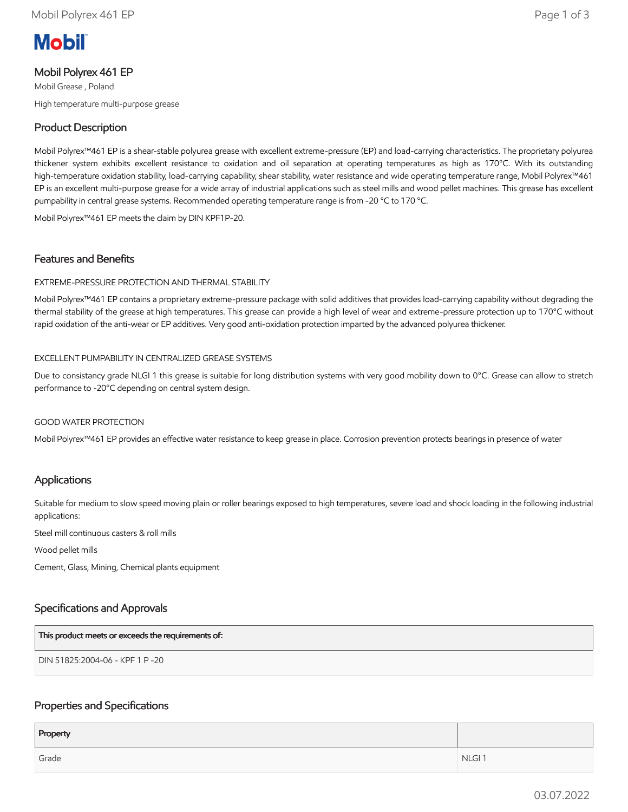# **Mobil**

# Mobil Polyrex 461 EP

Mobil Grease , Poland High temperature multi-purpose grease

# Product Description

Mobil Polyrex™461 EP is a shear-stable polyurea grease with excellent extreme-pressure (EP) and load-carrying characteristics. The proprietary polyurea thickener system exhibits excellent resistance to oxidation and oil separation at operating temperatures as high as 170°C. With its outstanding high-temperature oxidation stability, load-carrying capability, shear stability, water resistance and wide operating temperature range, Mobil Polyrex™461 EP is an excellent multi-purpose grease for a wide array of industrial applications such as steel mills and wood pellet machines. This grease has excellent pumpability in central grease systems. Recommended operating temperature range is from -20 °C to 170 °C.

Mobil Polyrex™461 EP meets the claim by DIN KPF1P-20.

# Features and Benefits

#### EXTREME-PRESSURE PROTECTION AND THERMAL STABILITY

Mobil Polyrex™461 EP contains a proprietary extreme-pressure package with solid additives that provides load-carrying capability without degrading the thermal stability of the grease at high temperatures. This grease can provide a high level of wear and extreme-pressure protection up to 170°C without rapid oxidation of the anti-wear or EP additives. Very good anti-oxidation protection imparted by the advanced polyurea thickener.

#### EXCELLENT PUMPABILITY IN CENTRALIZED GREASE SYSTEMS

Due to consistancy grade NLGI 1 this grease is suitable for long distribution systems with very good mobility down to 0°C. Grease can allow to stretch performance to -20°C depending on central system design.

#### GOOD WATER PROTECTION

Mobil Polyrex™461 EP provides an effective water resistance to keep grease in place. Corrosion prevention protects bearings in presence of water

# Applications

Suitable for medium to slow speed moving plain or roller bearings exposed to high temperatures, severe load and shock loading in the following industrial applications:

Steel mill continuous casters & roll mills

Wood pellet mills

Cement, Glass, Mining, Chemical plants equipment

# Specifications and Approvals

| This product meets or exceeds the requirements of: |  |
|----------------------------------------------------|--|
| DIN 51825:2004-06 - KPF 1 P -20                    |  |

# Properties and Specifications

| Property |                   |
|----------|-------------------|
| Grade    | NLGI <sub>1</sub> |